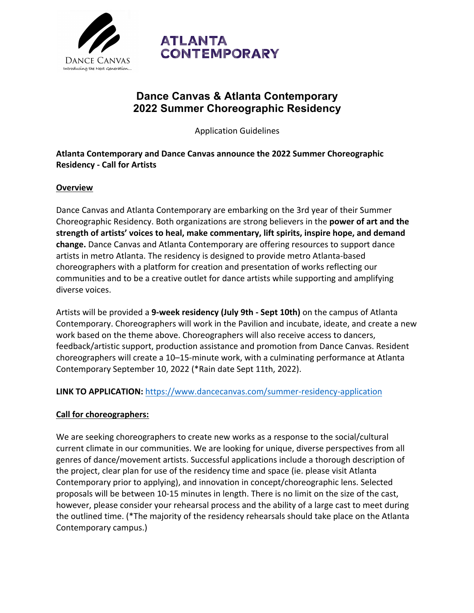

# **ATLANTA CONTEMPORARY**

# **Dance Canvas & Atlanta Contemporary 2022 Summer Choreographic Residency**

Application Guidelines

**Atlanta Contemporary and Dance Canvas announce the 2022 Summer Choreographic Residency - Call for Artists**

#### **Overview**

Dance Canvas and Atlanta Contemporary are embarking on the 3rd year of their Summer Choreographic Residency. Both organizations are strong believers in the **power of art and the strength of artists' voices to heal, make commentary, lift spirits, inspire hope, and demand change.** Dance Canvas and Atlanta Contemporary are offering resources to support dance artists in metro Atlanta. The residency is designed to provide metro Atlanta-based choreographers with a platform for creation and presentation of works reflecting our communities and to be a creative outlet for dance artists while supporting and amplifying diverse voices.

Artists will be provided a **9-week residency (July 9th - Sept 10th)** on the campus of Atlanta Contemporary. Choreographers will work in the Pavilion and incubate, ideate, and create a new work based on the theme above. Choreographers will also receive access to dancers, feedback/artistic support, production assistance and promotion from Dance Canvas. Resident choreographers will create a 10–15-minute work, with a culminating performance at Atlanta Contemporary September 10, 2022 (\*Rain date Sept 11th, 2022).

**LINK TO APPLICATION:** https://www.dancecanvas.com/summer-residency-application

#### **Call for choreographers:**

We are seeking choreographers to create new works as a response to the social/cultural current climate in our communities. We are looking for unique, diverse perspectives from all genres of dance/movement artists. Successful applications include a thorough description of the project, clear plan for use of the residency time and space (ie. please visit Atlanta Contemporary prior to applying), and innovation in concept/choreographic lens. Selected proposals will be between 10-15 minutes in length. There is no limit on the size of the cast, however, please consider your rehearsal process and the ability of a large cast to meet during the outlined time. (\*The majority of the residency rehearsals should take place on the Atlanta Contemporary campus.)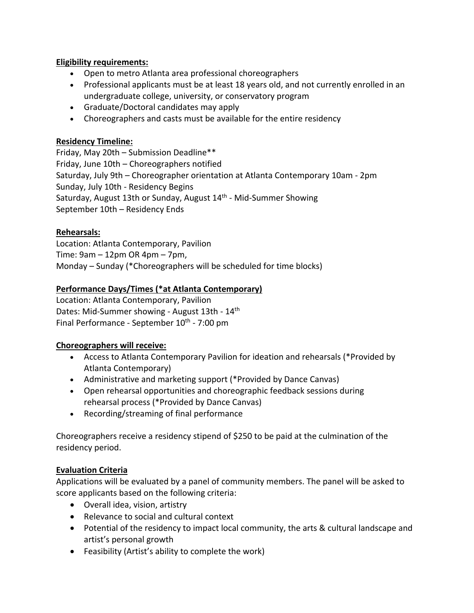#### **Eligibility requirements:**

- Open to metro Atlanta area professional choreographers
- Professional applicants must be at least 18 years old, and not currently enrolled in an undergraduate college, university, or conservatory program
- Graduate/Doctoral candidates may apply
- Choreographers and casts must be available for the entire residency

#### **Residency Timeline:**

Friday, May 20th – Submission Deadline\*\* Friday, June 10th – Choreographers notified Saturday, July 9th – Choreographer orientation at Atlanta Contemporary 10am - 2pm Sunday, July 10th - Residency Begins Saturday, August 13th or Sunday, August 14th - Mid-Summer Showing September 10th – Residency Ends

### **Rehearsals:**

Location: Atlanta Contemporary, Pavilion Time: 9am – 12pm OR 4pm – 7pm, Monday – Sunday (\*Choreographers will be scheduled for time blocks)

### **Performance Days/Times (\*at Atlanta Contemporary)**

Location: Atlanta Contemporary, Pavilion Dates: Mid-Summer showing - August 13th - 14th Final Performance - September 10<sup>th</sup> - 7:00 pm

#### **Choreographers will receive:**

- Access to Atlanta Contemporary Pavilion for ideation and rehearsals (\*Provided by Atlanta Contemporary)
- Administrative and marketing support (\*Provided by Dance Canvas)
- Open rehearsal opportunities and choreographic feedback sessions during rehearsal process (\*Provided by Dance Canvas)
- Recording/streaming of final performance

Choreographers receive a residency stipend of \$250 to be paid at the culmination of the residency period.

## **Evaluation Criteria**

Applications will be evaluated by a panel of community members. The panel will be asked to score applicants based on the following criteria:

- Overall idea, vision, artistry
- Relevance to social and cultural context
- Potential of the residency to impact local community, the arts & cultural landscape and artist's personal growth
- Feasibility (Artist's ability to complete the work)